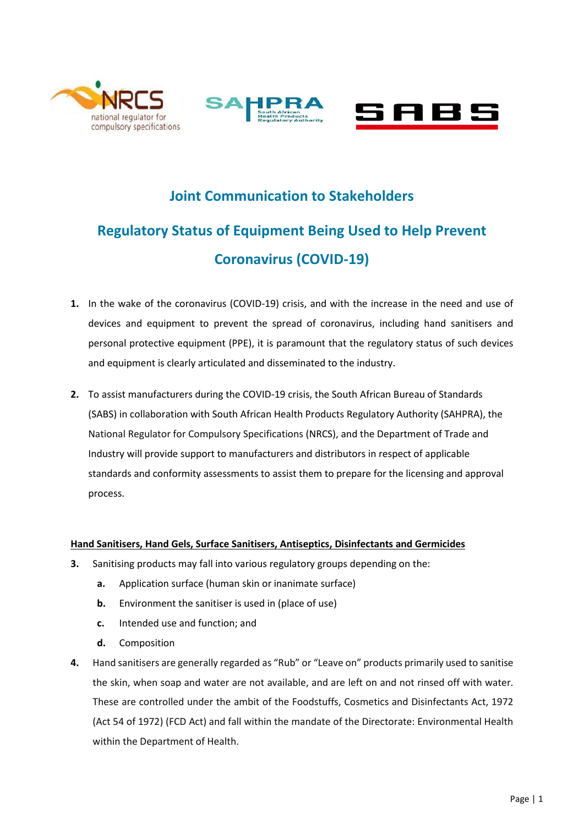





## **Joint Communication to Stakeholders**

# **Regulatory Status of Equipment Being Used to Help Prevent Coronavirus (COVID-19)**

- **1.** In the wake of the coronavirus (COVID-19) crisis, and with the increase in the need and use of devices and equipment to prevent the spread of coronavirus, including hand sanitisers and personal protective equipment (PPE), it is paramount that the regulatory status of such devices and equipment is clearly articulated and disseminated to the industry.
- **2.** To assist manufacturers during the COVID-19 crisis, the South African Bureau of Standards (SABS) in collaboration with South African Health Products Regulatory Authority (SAHPRA), the National Regulator for Compulsory Specifications (NRCS), and the Department of Trade and Industry will provide support to manufacturers and distributors in respect of applicable standards and conformity assessments to assist them to prepare for the licensing and approval process.

### **Hand Sanitisers, Hand Gels, Surface Sanitisers, Antiseptics, Disinfectants and Germicides**

- **3.** Sanitising products may fall into various regulatory groups depending on the:
	- **a.** Application surface (human skin or inanimate surface)
	- **b.** Environment the sanitiser is used in (place of use)
	- **c.** Intended use and function; and
	- **d.** Composition
- **4.** Hand sanitisers are generally regarded as "Rub" or "Leave on" products primarily used to sanitise the skin, when soap and water are not available, and are left on and not rinsed off with water. These are controlled under the ambit of the Foodstuffs, Cosmetics and Disinfectants Act, 1972 (Act 54 of 1972) (FCD Act) and fall within the mandate of the Directorate: Environmental Health within the Department of Health.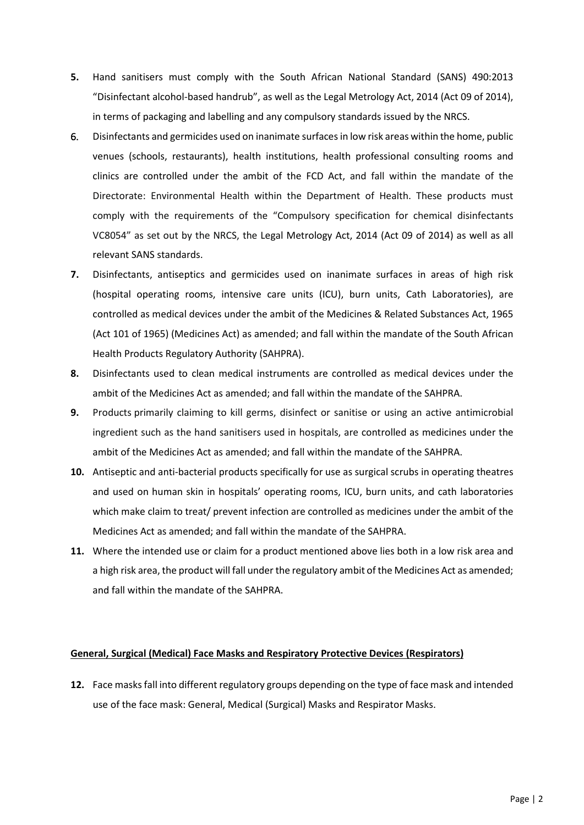- **5.** Hand sanitisers must comply with the South African National Standard (SANS) 490:2013 "Disinfectant alcohol-based handrub", as well as the Legal Metrology Act, 2014 (Act 09 of 2014), in terms of packaging and labelling and any compulsory standards issued by the NRCS.
- 6. Disinfectants and germicides used on inanimate surfaces in low risk areas within the home, public venues (schools, restaurants), health institutions, health professional consulting rooms and clinics are controlled under the ambit of the FCD Act, and fall within the mandate of the Directorate: Environmental Health within the Department of Health. These products must comply with the requirements of the "Compulsory specification for chemical disinfectants VC8054" as set out by the NRCS, the Legal Metrology Act, 2014 (Act 09 of 2014) as well as all relevant SANS standards.
- **7.** Disinfectants, antiseptics and germicides used on inanimate surfaces in areas of high risk (hospital operating rooms, intensive care units (ICU), burn units, Cath Laboratories), are controlled as medical devices under the ambit of the Medicines & Related Substances Act, 1965 (Act 101 of 1965) (Medicines Act) as amended; and fall within the mandate of the South African Health Products Regulatory Authority (SAHPRA).
- **8.** Disinfectants used to clean medical instruments are controlled as medical devices under the ambit of the Medicines Act as amended; and fall within the mandate of the SAHPRA.
- **9.** Products primarily claiming to kill germs, disinfect or sanitise or using an active antimicrobial ingredient such as the hand sanitisers used in hospitals, are controlled as medicines under the ambit of the Medicines Act as amended; and fall within the mandate of the SAHPRA.
- **10.** Antiseptic and anti-bacterial products specifically for use as surgical scrubs in operating theatres and used on human skin in hospitals' operating rooms, ICU, burn units, and cath laboratories which make claim to treat/ prevent infection are controlled as medicines under the ambit of the Medicines Act as amended; and fall within the mandate of the SAHPRA.
- **11.** Where the intended use or claim for a product mentioned above lies both in a low risk area and a high risk area, the product will fall under the regulatory ambit of the Medicines Act as amended; and fall within the mandate of the SAHPRA.

#### **General, Surgical (Medical) Face Masks and Respiratory Protective Devices (Respirators)**

**12.** Face masks fall into different regulatory groups depending on the type of face mask and intended use of the face mask: General, Medical (Surgical) Masks and Respirator Masks.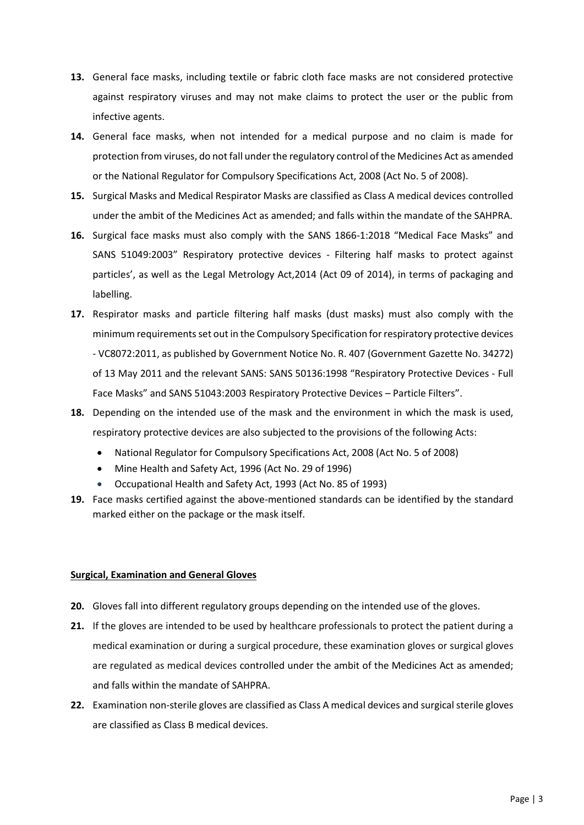- **13.** General face masks, including textile or fabric cloth face masks are not considered protective against respiratory viruses and may not make claims to protect the user or the public from infective agents.
- **14.** General face masks, when not intended for a medical purpose and no claim is made for protection from viruses, do not fall under the regulatory control of the Medicines Act as amended or the National Regulator for Compulsory Specifications Act, 2008 (Act No. 5 of 2008).
- **15.** Surgical Masks and Medical Respirator Masks are classified as Class A medical devices controlled under the ambit of the Medicines Act as amended; and falls within the mandate of the SAHPRA.
- **16.** Surgical face masks must also comply with the SANS 1866-1:2018 "Medical Face Masks" and SANS 51049:2003" Respiratory protective devices - Filtering half masks to protect against particles', as well as the Legal Metrology Act,2014 (Act 09 of 2014), in terms of packaging and labelling.
- **17.** Respirator masks and particle filtering half masks (dust masks) must also comply with the minimum requirements set out in the Compulsory Specification for respiratory protective devices - VC8072:2011, as published by Government Notice No. R. 407 (Government Gazette No. 34272) of 13 May 2011 and the relevant SANS: SANS 50136:1998 "Respiratory Protective Devices - Full Face Masks" and SANS 51043:2003 Respiratory Protective Devices – Particle Filters".
- **18.** Depending on the intended use of the mask and the environment in which the mask is used, respiratory protective devices are also subjected to the provisions of the following Acts:
	- National Regulator for Compulsory Specifications Act, 2008 (Act No. 5 of 2008)
	- Mine Health and Safety Act, 1996 (Act No. 29 of 1996)
	- Occupational Health and Safety Act, 1993 (Act No. 85 of 1993)
- **19.** Face masks certified against the above-mentioned standards can be identified by the standard marked either on the package or the mask itself.

### **Surgical, Examination and General Gloves**

- **20.** Gloves fall into different regulatory groups depending on the intended use of the gloves.
- **21.** If the gloves are intended to be used by healthcare professionals to protect the patient during a medical examination or during a surgical procedure, these examination gloves or surgical gloves are regulated as medical devices controlled under the ambit of the Medicines Act as amended; and falls within the mandate of SAHPRA.
- **22.** Examination non-sterile gloves are classified as Class A medical devices and surgical sterile gloves are classified as Class B medical devices.